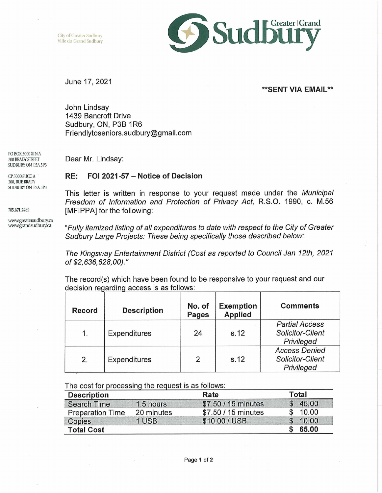City of Greater Sudbury Ville du Grand Sudbury



## June 17, 2021

## **\*\*SENT VIA EMAIL\*\***

John Lindsay 1439 Bancroft Drive Sudbury, ON, P3B 1R6 [Friendlytoseniors.sudbury@gmail.com](mailto:Friendlytoseniors.sudbury@gmail.com)

Dear Mr. Lindsay:

## **RE: FOI 2021-57 - Notice of Decision**

This letter is written in response to your request made under the *Municipal Freedom of Information and Protection of Privacy Act,* R.S.O. 1990, c. M.56 [MFIPPA] for the following:

*"Fully itemized listing of all expenditures to date with respect to the City of Greater Sudbury Large Projects: These being specifically those described below:*

*The Kingsway Entertainment District (Cost as reported to Council Jan 12th, 2021 of \$2,636,628,00)."*

The record(s) which have been found to be responsive to your request and our decision regarding access is as follows:

| <b>Record</b> | <b>Description</b>  | No. of<br><b>Pages</b> | <b>Exemption</b><br><b>Applied</b> | <b>Comments</b>                                               |
|---------------|---------------------|------------------------|------------------------------------|---------------------------------------------------------------|
| 1.            | Expenditures        | 24                     | s.12                               | <b>Partial Access</b><br>Solicitor-Client<br>Privileged       |
| 2.            | <b>Expenditures</b> | 2                      | s.12                               | <b>Access Denied</b><br><b>Solicitor-Client</b><br>Privileged |

| <b>Description</b>      |            | Rate                | <b>Total</b> |         |
|-------------------------|------------|---------------------|--------------|---------|
| <b>Search Time</b>      | 1.5 hours  | \$7.50 / 15 minutes |              | \$45.00 |
| <b>Preparation Time</b> | 20 minutes | \$7.50 / 15 minutes |              | 10.00   |
| Copies                  | 1 USB      | \$10.00 / USB       |              | \$10.00 |
| <b>Total Cost</b>       |            |                     |              | 65.00   |

SUDBURYON P3A5P3 CP 5000 SUCCA

PO BOX 5000 SIN A 200 BRADY STREET

200, RUE BRADY SUDBURY ON P3A 5P3

705.671.2489

[www.greatersudbuiy.ca](http://www.greatersudbuiy.ca) [www.grandsudbuiy.ca](http://www.grandsudbuiy.ca)